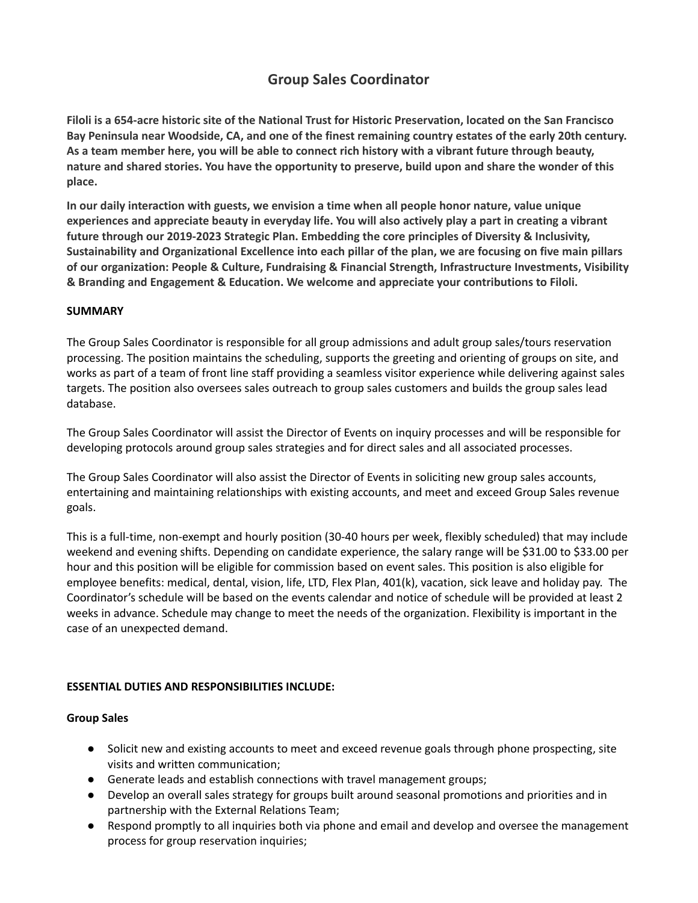# **Group Sales Coordinator**

Filoli is a 654-acre historic site of the National Trust for Historic Preservation, located on the San Francisco Bay Peninsula near Woodside, CA, and one of the finest remaining country estates of the early 20th century. As a team member here, you will be able to connect rich history with a vibrant future through beauty, nature and shared stories. You have the opportunity to preserve, build upon and share the wonder of this **place.**

**In our daily interaction with guests, we envision a time when all people honor nature, value unique** experiences and appreciate beauty in everyday life. You will also actively play a part in creating a vibrant **future through our 2019-2023 Strategic Plan. Embedding the core principles of Diversity & Inclusivity,** Sustainability and Organizational Excellence into each pillar of the plan, we are focusing on five main pillars **of our organization: People & Culture, Fundraising & Financial Strength, Infrastructure Investments, Visibility & Branding and Engagement & Education. We welcome and appreciate your contributions to Filoli.**

### **SUMMARY**

The Group Sales Coordinator is responsible for all group admissions and adult group sales/tours reservation processing. The position maintains the scheduling, supports the greeting and orienting of groups on site, and works as part of a team of front line staff providing a seamless visitor experience while delivering against sales targets. The position also oversees sales outreach to group sales customers and builds the group sales lead database.

The Group Sales Coordinator will assist the Director of Events on inquiry processes and will be responsible for developing protocols around group sales strategies and for direct sales and all associated processes.

The Group Sales Coordinator will also assist the Director of Events in soliciting new group sales accounts, entertaining and maintaining relationships with existing accounts, and meet and exceed Group Sales revenue goals.

This is a full-time, non-exempt and hourly position (30-40 hours per week, flexibly scheduled) that may include weekend and evening shifts. Depending on candidate experience, the salary range will be \$31.00 to \$33.00 per hour and this position will be eligible for commission based on event sales. This position is also eligible for employee benefits: medical, dental, vision, life, LTD, Flex Plan, 401(k), vacation, sick leave and holiday pay. The Coordinator's schedule will be based on the events calendar and notice of schedule will be provided at least 2 weeks in advance. Schedule may change to meet the needs of the organization. Flexibility is important in the case of an unexpected demand.

## **ESSENTIAL DUTIES AND RESPONSIBILITIES INCLUDE:**

#### **Group Sales**

- Solicit new and existing accounts to meet and exceed revenue goals through phone prospecting, site visits and written communication;
- Generate leads and establish connections with travel management groups;
- Develop an overall sales strategy for groups built around seasonal promotions and priorities and in partnership with the External Relations Team;
- Respond promptly to all inquiries both via phone and email and develop and oversee the management process for group reservation inquiries;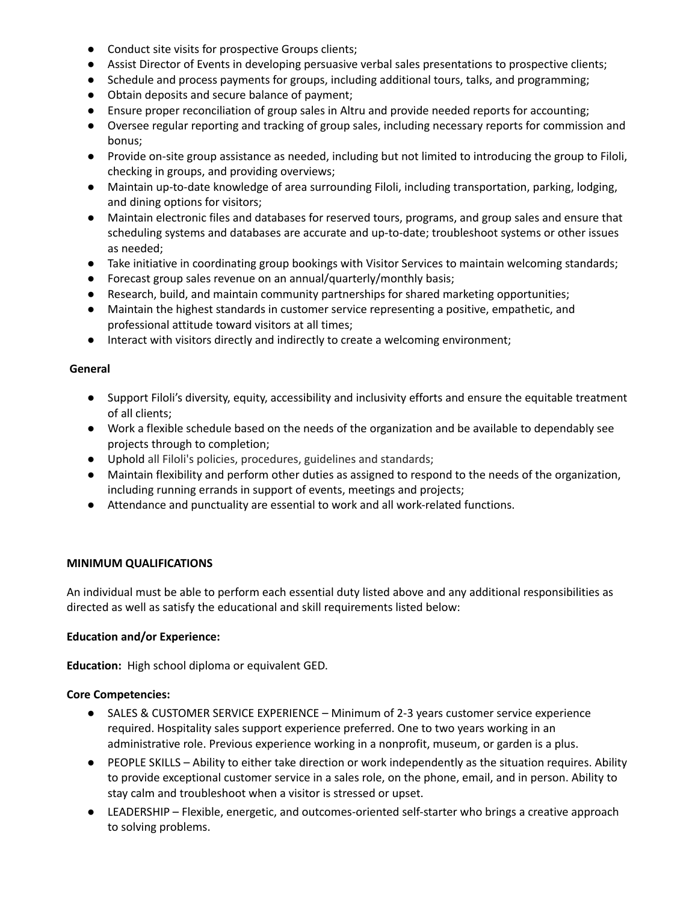- Conduct site visits for prospective Groups clients;
- Assist Director of Events in developing persuasive verbal sales presentations to prospective clients;
- Schedule and process payments for groups, including additional tours, talks, and programming;
- Obtain deposits and secure balance of payment;
- Ensure proper reconciliation of group sales in Altru and provide needed reports for accounting;
- Oversee regular reporting and tracking of group sales, including necessary reports for commission and bonus;
- Provide on-site group assistance as needed, including but not limited to introducing the group to Filoli, checking in groups, and providing overviews;
- Maintain up-to-date knowledge of area surrounding Filoli, including transportation, parking, lodging, and dining options for visitors;
- Maintain electronic files and databases for reserved tours, programs, and group sales and ensure that scheduling systems and databases are accurate and up-to-date; troubleshoot systems or other issues as needed;
- Take initiative in coordinating group bookings with Visitor Services to maintain welcoming standards;
- Forecast group sales revenue on an annual/quarterly/monthly basis;
- Research, build, and maintain community partnerships for shared marketing opportunities;
- Maintain the highest standards in customer service representing a positive, empathetic, and professional attitude toward visitors at all times;
- Interact with visitors directly and indirectly to create a welcoming environment;

#### **General**

- Support Filoli's diversity, equity, accessibility and inclusivity efforts and ensure the equitable treatment of all clients;
- Work a flexible schedule based on the needs of the organization and be available to dependably see projects through to completion;
- Uphold all Filoli's policies, procedures, guidelines and standards;
- Maintain flexibility and perform other duties as assigned to respond to the needs of the organization, including running errands in support of events, meetings and projects;
- Attendance and punctuality are essential to work and all work-related functions.

#### **MINIMUM QUALIFICATIONS**

An individual must be able to perform each essential duty listed above and any additional responsibilities as directed as well as satisfy the educational and skill requirements listed below:

#### **Education and/or Experience:**

**Education:** High school diploma or equivalent GED.

#### **Core Competencies:**

- SALES & CUSTOMER SERVICE EXPERIENCE Minimum of 2-3 years customer service experience required. Hospitality sales support experience preferred. One to two years working in an administrative role. Previous experience working in a nonprofit, museum, or garden is a plus.
- PEOPLE SKILLS Ability to either take direction or work independently as the situation requires. Ability to provide exceptional customer service in a sales role, on the phone, email, and in person. Ability to stay calm and troubleshoot when a visitor is stressed or upset.
- LEADERSHIP Flexible, energetic, and outcomes-oriented self-starter who brings a creative approach to solving problems.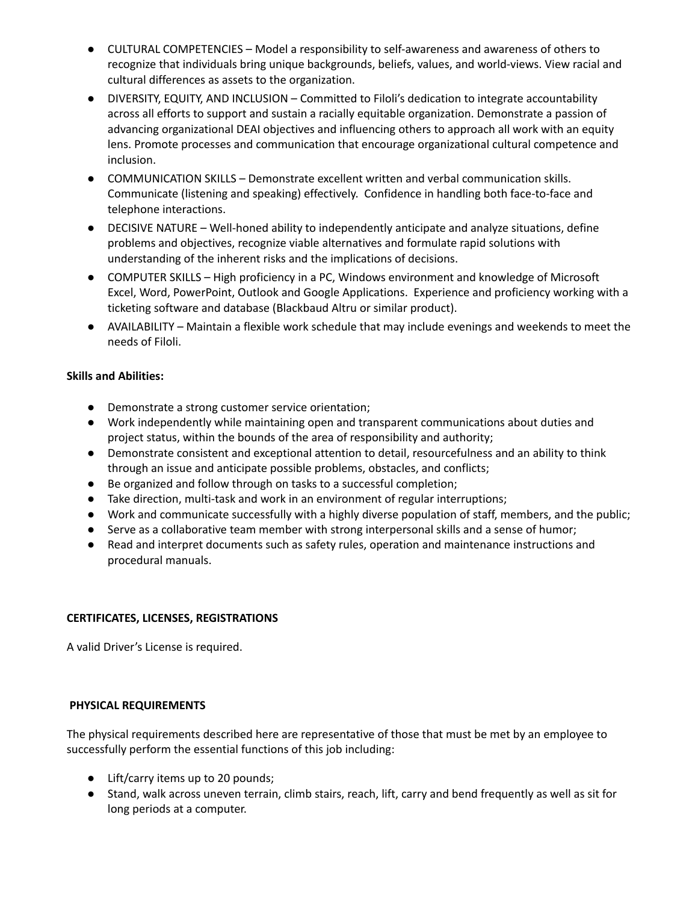- CULTURAL COMPETENCIES Model a responsibility to self-awareness and awareness of others to recognize that individuals bring unique backgrounds, beliefs, values, and world-views. View racial and cultural differences as assets to the organization.
- DIVERSITY, EQUITY, AND INCLUSION Committed to Filoli's dedication to integrate accountability across all efforts to support and sustain a racially equitable organization. Demonstrate a passion of advancing organizational DEAI objectives and influencing others to approach all work with an equity lens. Promote processes and communication that encourage organizational cultural competence and inclusion.
- COMMUNICATION SKILLS Demonstrate excellent written and verbal communication skills. Communicate (listening and speaking) effectively. Confidence in handling both face-to-face and telephone interactions.
- DECISIVE NATURE Well-honed ability to independently anticipate and analyze situations, define problems and objectives, recognize viable alternatives and formulate rapid solutions with understanding of the inherent risks and the implications of decisions.
- COMPUTER SKILLS High proficiency in a PC, Windows environment and knowledge of Microsoft Excel, Word, PowerPoint, Outlook and Google Applications. Experience and proficiency working with a ticketing software and database (Blackbaud Altru or similar product).
- AVAILABILITY Maintain a flexible work schedule that may include evenings and weekends to meet the needs of Filoli.

## **Skills and Abilities:**

- Demonstrate a strong customer service orientation;
- Work independently while maintaining open and transparent communications about duties and project status, within the bounds of the area of responsibility and authority;
- Demonstrate consistent and exceptional attention to detail, resourcefulness and an ability to think through an issue and anticipate possible problems, obstacles, and conflicts;
- Be organized and follow through on tasks to a successful completion;
- Take direction, multi-task and work in an environment of regular interruptions;
- Work and communicate successfully with a highly diverse population of staff, members, and the public;
- Serve as a collaborative team member with strong interpersonal skills and a sense of humor;
- Read and interpret documents such as safety rules, operation and maintenance instructions and procedural manuals.

## **CERTIFICATES, LICENSES, REGISTRATIONS**

A valid Driver's License is required.

#### **PHYSICAL REQUIREMENTS**

The physical requirements described here are representative of those that must be met by an employee to successfully perform the essential functions of this job including:

- Lift/carry items up to 20 pounds;
- Stand, walk across uneven terrain, climb stairs, reach, lift, carry and bend frequently as well as sit for long periods at a computer.